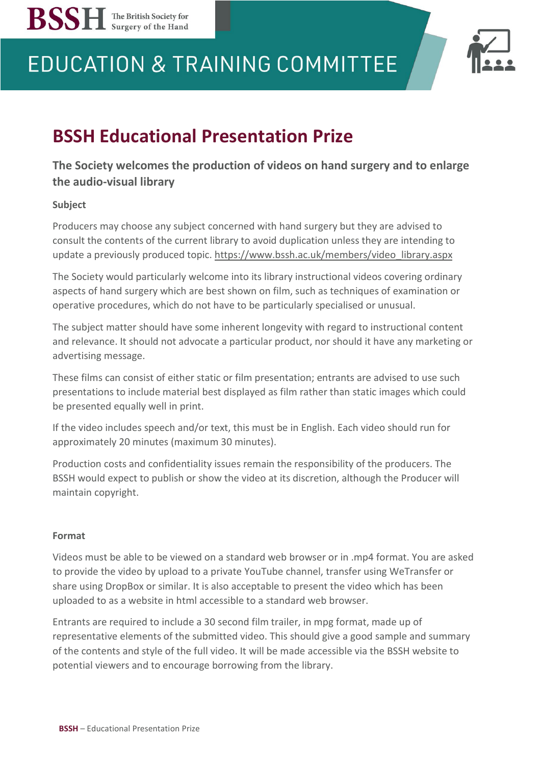



## **BSSH Educational Presentation Prize**

### **The Society welcomes the production of videos on hand surgery and to enlarge the audio-visual library**

#### **Subject**

**BSSH** The British Society for

Producers may choose any subject concerned with hand surgery but they are advised to consult the contents of the current library to avoid duplication unless they are intending to update a previously produced topic. https://www.bssh.ac.uk/members/video library.aspx

The Society would particularly welcome into its library instructional videos covering ordinary aspects of hand surgery which are best shown on film, such as techniques of examination or operative procedures, which do not have to be particularly specialised or unusual.

The subject matter should have some inherent longevity with regard to instructional content and relevance. It should not advocate a particular product, nor should it have any marketing or advertising message.

These films can consist of either static or film presentation; entrants are advised to use such presentations to include material best displayed as film rather than static images which could be presented equally well in print.

If the video includes speech and/or text, this must be in English. Each video should run for approximately 20 minutes (maximum 30 minutes).

Production costs and confidentiality issues remain the responsibility of the producers. The BSSH would expect to publish or show the video at its discretion, although the Producer will maintain copyright.

#### **Format**

Videos must be able to be viewed on a standard web browser or in .mp4 format. You are asked to provide the video by upload to a private YouTube channel, transfer using WeTransfer or share using DropBox or similar. It is also acceptable to present the video which has been uploaded to as a website in html accessible to a standard web browser.

Entrants are required to include a 30 second film trailer, in mpg format, made up of representative elements of the submitted video. This should give a good sample and summary of the contents and style of the full video. It will be made accessible via the BSSH website to potential viewers and to encourage borrowing from the library.